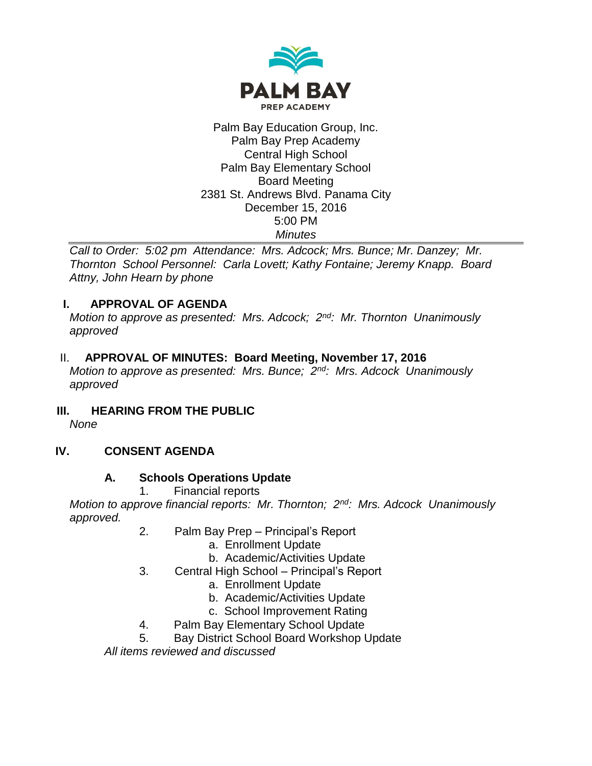

#### Palm Bay Education Group, Inc. Palm Bay Prep Academy Central High School Palm Bay Elementary School Board Meeting 2381 St. Andrews Blvd. Panama City December 15, 2016 5:00 PM *Minutes*

*Call to Order: 5:02 pm Attendance: Mrs. Adcock; Mrs. Bunce; Mr. Danzey; Mr. Thornton School Personnel: Carla Lovett; Kathy Fontaine; Jeremy Knapp. Board Attny, John Hearn by phone*

## **I. APPROVAL OF AGENDA**

*Motion to approve as presented: Mrs. Adcock; 2nd: Mr. Thornton Unanimously approved*

## II. **APPROVAL OF MINUTES: Board Meeting, November 17, 2016**

*Motion to approve as presented: Mrs. Bunce; 2nd: Mrs. Adcock Unanimously approved*

**III. HEARING FROM THE PUBLIC** *None*

# **IV. CONSENT AGENDA**

#### **A. Schools Operations Update**

1. Financial reports

*Motion to approve financial reports: Mr. Thornton; 2nd: Mrs. Adcock Unanimously approved.*

- 2. Palm Bay Prep Principal's Report
	- a. Enrollment Update
	- b. Academic/Activities Update
- 3. Central High School Principal's Report
	- a. Enrollment Update
	- b. Academic/Activities Update
	- c. School Improvement Rating
- 4. Palm Bay Elementary School Update
- 5. Bay District School Board Workshop Update

*All items reviewed and discussed*